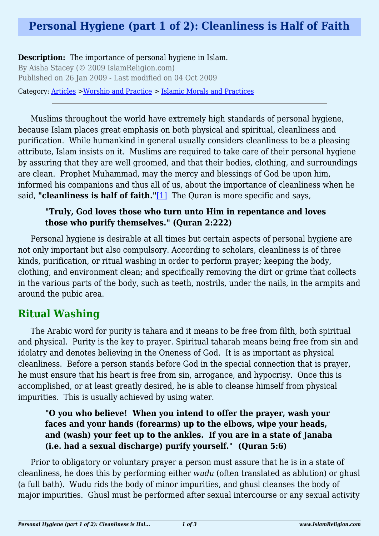## **Personal Hygiene (part 1 of 2): Cleanliness is Half of Faith**

**Description:** The importance of personal hygiene in Islam.

By Aisha Stacey (© 2009 IslamReligion.com) Published on 26 Jan 2009 - Last modified on 04 Oct 2009

Category: [Articles](http://www.islamreligion.com/articles/) >[Worship and Practice](http://www.islamreligion.com/category/55/) > [Islamic Morals and Practices](http://www.islamreligion.com/category/58/)

Muslims throughout the world have extremely high standards of personal hygiene, because Islam places great emphasis on both physical and spiritual, cleanliness and purification. While humankind in general usually considers cleanliness to be a pleasing attribute, Islam insists on it. Muslims are required to take care of their personal hygiene by assuring that they are well groomed, and that their bodies, clothing, and surroundings are clean. Prophet Muhammad, may the mercy and blessings of God be upon him, informed his companions and thus all of us, about the importance of cleanliness when he said, **"cleanliness is half of faith."**[\[1\]](#page-2-0) The Quran is more specific and says,

## **"Truly, God loves those who turn unto Him in repentance and loves those who purify themselves." (Quran 2:222)**

<span id="page-0-0"></span>Personal hygiene is desirable at all times but certain aspects of personal hygiene are not only important but also compulsory. According to scholars, cleanliness is of three kinds, purification, or ritual washing in order to perform prayer; keeping the body, clothing, and environment clean; and specifically removing the dirt or grime that collects in the various parts of the body, such as teeth, nostrils, under the nails, in the armpits and around the pubic area.

## **Ritual Washing**

The Arabic word for purity is tahara and it means to be free from filth, both spiritual and physical. Purity is the key to prayer. Spiritual taharah means being free from sin and idolatry and denotes believing in the Oneness of God. It is as important as physical cleanliness. Before a person stands before God in the special connection that is prayer, he must ensure that his heart is free from sin, arrogance, and hypocrisy. Once this is accomplished, or at least greatly desired, he is able to cleanse himself from physical impurities. This is usually achieved by using water.

## **"O you who believe! When you intend to offer the prayer, wash your faces and your hands (forearms) up to the elbows, wipe your heads, and (wash) your feet up to the ankles. If you are in a state of Janaba (i.e. had a sexual discharge) purify yourself." (Quran 5:6)**

Prior to obligatory or voluntary prayer a person must assure that he is in a state of cleanliness, he does this by performing either *wudu* (often translated as ablution) or ghusl (a full bath). Wudu rids the body of minor impurities, and ghusl cleanses the body of major impurities. Ghusl must be performed after sexual intercourse or any sexual activity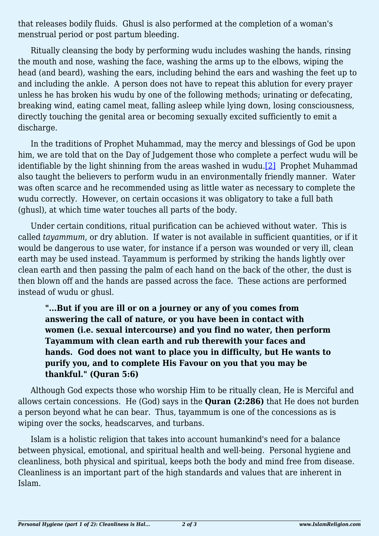that releases bodily fluids. Ghusl is also performed at the completion of a woman's menstrual period or post partum bleeding.

Ritually cleansing the body by performing wudu includes washing the hands, rinsing the mouth and nose, washing the face, washing the arms up to the elbows, wiping the head (and beard), washing the ears, including behind the ears and washing the feet up to and including the ankle. A person does not have to repeat this ablution for every prayer unless he has broken his wudu by one of the following methods; urinating or defecating, breaking wind, eating camel meat, falling asleep while lying down, losing consciousness, directly touching the genital area or becoming sexually excited sufficiently to emit a discharge.

<span id="page-1-0"></span>In the traditions of Prophet Muhammad, may the mercy and blessings of God be upon him, we are told that on the Day of Judgement those who complete a perfect wudu will be identifiable by the light shinning from the areas washed in wudu.[\[2\]](#page-2-1) Prophet Muhammad also taught the believers to perform wudu in an environmentally friendly manner. Water was often scarce and he recommended using as little water as necessary to complete the wudu correctly. However, on certain occasions it was obligatory to take a full bath (ghusl), at which time water touches all parts of the body.

Under certain conditions, ritual purification can be achieved without water. This is called *tayammum*, or dry ablution. If water is not available in sufficient quantities, or if it would be dangerous to use water, for instance if a person was wounded or very ill, clean earth may be used instead. Tayammum is performed by striking the hands lightly over clean earth and then passing the palm of each hand on the back of the other, the dust is then blown off and the hands are passed across the face. These actions are performed instead of wudu or ghusl.

**"...But if you are ill or on a journey or any of you comes from answering the call of nature, or you have been in contact with women (i.e. sexual intercourse) and you find no water, then perform Tayammum with clean earth and rub therewith your faces and hands. God does not want to place you in difficulty, but He wants to purify you, and to complete His Favour on you that you may be thankful." (Quran 5:6)**

Although God expects those who worship Him to be ritually clean, He is Merciful and allows certain concessions. He (God) says in the **Quran (2:286)** that He does not burden a person beyond what he can bear. Thus, tayammum is one of the concessions as is wiping over the socks, headscarves, and turbans.

Islam is a holistic religion that takes into account humankind's need for a balance between physical, emotional, and spiritual health and well-being. Personal hygiene and cleanliness, both physical and spiritual, keeps both the body and mind free from disease. Cleanliness is an important part of the high standards and values that are inherent in Islam.